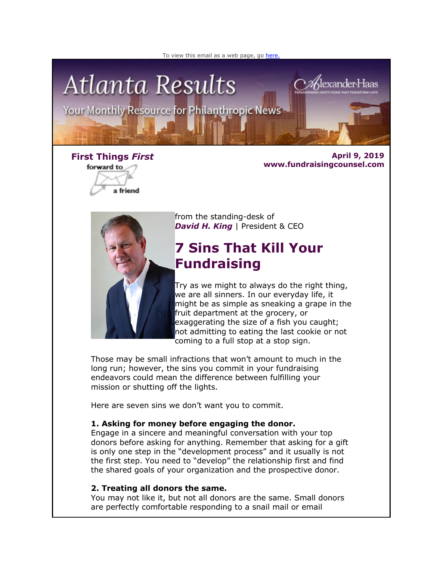



forward to a friend

**First Things** *First* **April 9, 2019 www.fundraisingcounsel.com**



from the standing-desk of **David H. King** | President & CEO

# **7 Sins That Kill Your Fundraising**

Try as we might to always do the right thing, we are all sinners. In our everyday life, it might be as simple as sneaking a grape in the fruit department at the grocery, or exaggerating the size of a fish you caught; not admitting to eating the last cookie or not coming to a full stop at a stop sign.

Those may be small infractions that won't amount to much in the long run; however, the sins you commit in your fundraising endeavors could mean the difference between fulfilling your mission or shutting off the lights.

Here are seven sins we don't want you to commit.

# **1. Asking for money before engaging the donor.**

Engage in a sincere and meaningful conversation with your top donors before asking for anything. Remember that asking for a gift is only one step in the "development process" and it usually is not the first step. You need to "develop" the relationship first and find the shared goals of your organization and the prospective donor.

#### **2. Treating all donors the same.**

You may not like it, but not all donors are the same. Small donors are perfectly comfortable responding to a snail mail or email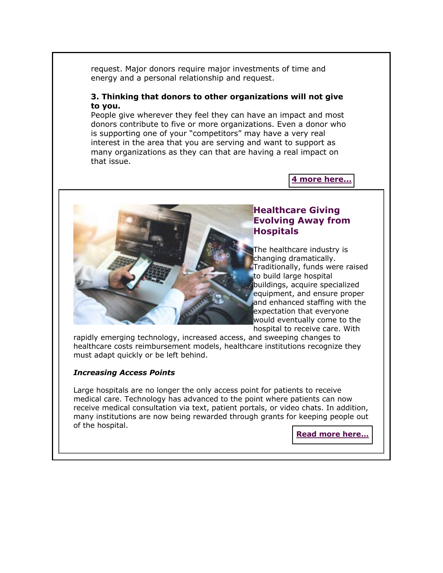request. Major donors require major investments of time and energy and a personal relationship and request.

#### **3. Thinking that donors to other organizations will not give to you.**

People give wherever they feel they can have an impact and most donors contribute to five or more organizations. Even a donor who is supporting one of your "competitors" may have a very real interest in the area that you are serving and want to support as many organizations as they can that are having a real impact on that issue.

#### **[4 more here...](http://fundraisingcounsel.com/uncategorized/7-sins-that-kill-your-fundraising-efforts/)**



#### **Healthcare Giving Evolving Away from Hospitals**

The healthcare industry is changing dramatically. Traditionally, funds were raised to build large hospital buildings, acquire specialized equipment, and ensure proper and enhanced staffing with the expectation that everyone would eventually come to the hospital to receive care. With

rapidly emerging technology, increased access, and sweeping changes to healthcare costs reimbursement models, healthcare institutions recognize they must adapt quickly or be left behind.

#### *Increasing Access Points*

Large hospitals are no longer the only access point for patients to receive medical care. Technology has advanced to the point where patients can now receive medical consultation via text, patient portals, or video chats. In addition, many institutions are now being rewarded through grants for keeping people out of the hospital.

**[Read more here...](http://fundraisingcounsel.com/healthcare-philanthropy-is-evolving-away-from-hospitals/)**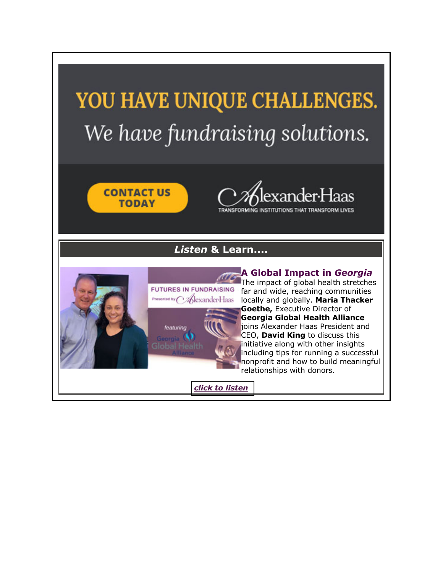# YOU HAVE UNIQUE CHALLENGES. We have fundraising solutions.





TRANSFORMING INSTITUTIONS THAT TRANSFORM LIVES

# *Listen* **& Learn....**

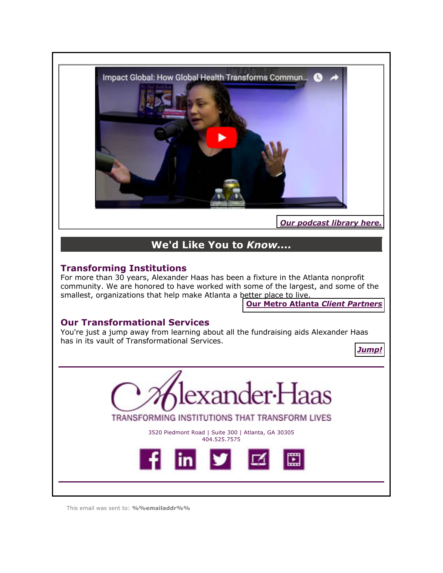

*[Our podcast library here.](http://fundraisingcounsel.com/category/podcasts/)*

# **We'd Like You to** *Know....*

# **Transforming Institutions**

For more than 30 years, Alexander Haas has been a fixture in the Atlanta nonprofit community. We are honored to have worked with some of the largest, and some of the smallest, organizations that help make Atlanta a better place to live.

**[Our Metro Atlanta](http://fundraisingcounsel.com/our-clients/)** *Client Partners*

# **Our Transformational Services**

You're just a jump away from learning about all the fundraising aids Alexander Haas has in its vault of Transformational Services.

*[Jump!](http://fundraisingcounsel.com/services/)*



This email was sent to: **%%emailaddr%%**